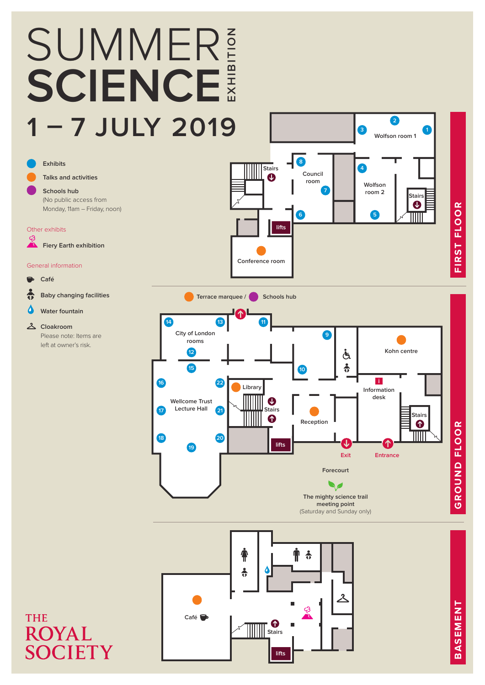# **1 – 7 JULY 2019 SCIENCE SUMMER EXHIBITION**

**SOCIETY** 



**lifts**

**BASEMENT BASEMENT**

**Wolfson room 1 3 1**

**2**